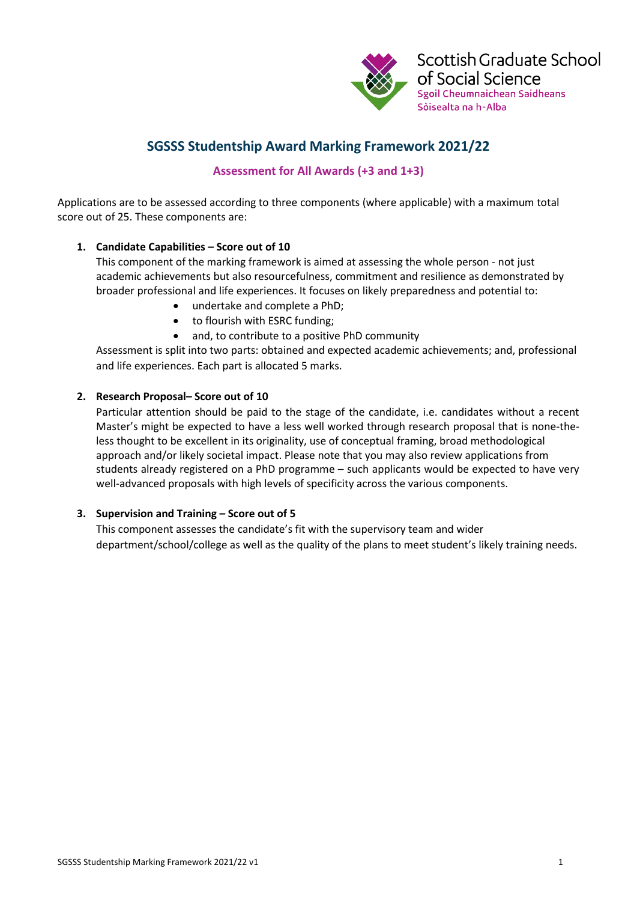

# **SGSSS Studentship Award Marking Framework 2021/22**

## **Assessment for All Awards (+3 and 1+3)**

Applications are to be assessed according to three components (where applicable) with a maximum total score out of 25. These components are:

### **1. Candidate Capabilities – Score out of 10**

This component of the marking framework is aimed at assessing the whole person - not just academic achievements but also resourcefulness, commitment and resilience as demonstrated by broader professional and life experiences. It focuses on likely preparedness and potential to:

- undertake and complete a PhD;
- to flourish with ESRC funding;
- and, to contribute to a positive PhD community

Assessment is split into two parts: obtained and expected academic achievements; and, professional and life experiences. Each part is allocated 5 marks.

### **2. Research Proposal– Score out of 10**

Particular attention should be paid to the stage of the candidate, i.e. candidates without a recent Master's might be expected to have a less well worked through research proposal that is none-theless thought to be excellent in its originality, use of conceptual framing, broad methodological approach and/or likely societal impact. Please note that you may also review applications from students already registered on a PhD programme – such applicants would be expected to have very well-advanced proposals with high levels of specificity across the various components.

#### **3. Supervision and Training – Score out of 5**

This component assesses the candidate's fit with the supervisory team and wider department/school/college as well as the quality of the plans to meet student's likely training needs.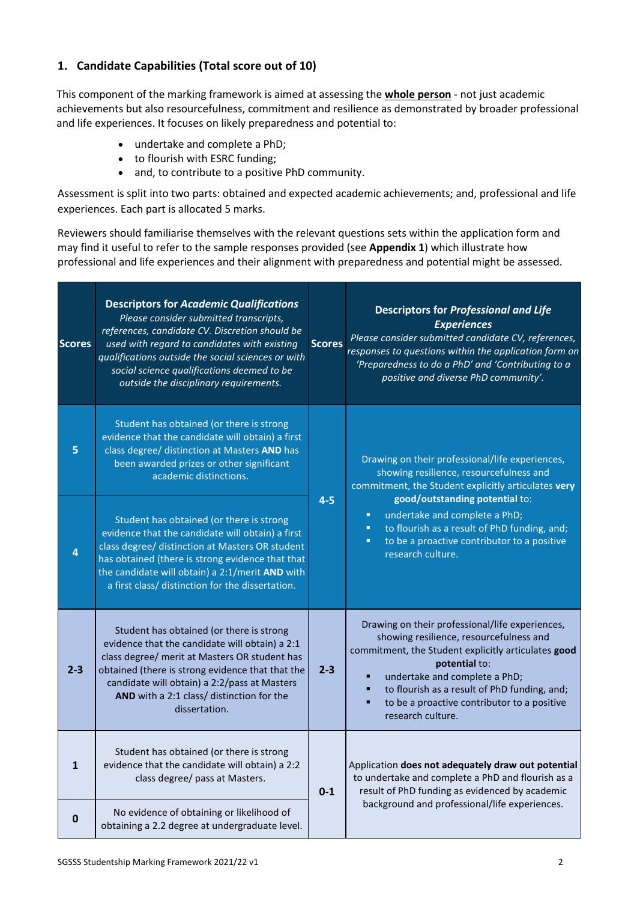## **1. Candidate Capabilities (Total score out of 10)**

This component of the marking framework is aimed at assessing the **whole person** - not just academic achievements but also resourcefulness, commitment and resilience as demonstrated by broader professional and life experiences. It focuses on likely preparedness and potential to:

- undertake and complete a PhD;
- to flourish with ESRC funding;
- and, to contribute to a positive PhD community.

Assessment is split into two parts: obtained and expected academic achievements; and, professional and life experiences. Each part is allocated 5 marks.

Reviewers should familiarise themselves with the relevant questions sets within the application form and may find it useful to refer to the sample responses provided (see **Appendix 1**) which illustrate how professional and life experiences and their alignment with preparedness and potential might be assessed.

| <b>Scores</b> | <b>Descriptors for Academic Qualifications</b><br>Please consider submitted transcripts,<br>references, candidate CV. Discretion should be<br>used with regard to candidates with existing<br>qualifications outside the social sciences or with<br>social science qualifications deemed to be<br>outside the disciplinary requirements. | <b>Scores</b> | <b>Descriptors for Professional and Life</b><br><b>Experiences</b><br>Please consider submitted candidate CV, references,<br>responses to questions within the application form on<br>'Preparedness to do a PhD' and 'Contributing to a<br>positive and diverse PhD community'.                                                                                      |
|---------------|------------------------------------------------------------------------------------------------------------------------------------------------------------------------------------------------------------------------------------------------------------------------------------------------------------------------------------------|---------------|----------------------------------------------------------------------------------------------------------------------------------------------------------------------------------------------------------------------------------------------------------------------------------------------------------------------------------------------------------------------|
| 5             | Student has obtained (or there is strong<br>evidence that the candidate will obtain) a first<br>class degree/ distinction at Masters AND has<br>been awarded prizes or other significant<br>academic distinctions.                                                                                                                       | $4 - 5$       | Drawing on their professional/life experiences,<br>showing resilience, resourcefulness and<br>commitment, the Student explicitly articulates very<br>good/outstanding potential to:<br>undertake and complete a PhD;<br>п<br>to flourish as a result of PhD funding, and;<br>$\blacksquare$<br>to be a proactive contributor to a positive<br>п<br>research culture. |
| 4             | Student has obtained (or there is strong<br>evidence that the candidate will obtain) a first<br>class degree/ distinction at Masters OR student<br>has obtained (there is strong evidence that that<br>the candidate will obtain) a 2:1/merit AND with<br>a first class/ distinction for the dissertation.                               |               |                                                                                                                                                                                                                                                                                                                                                                      |
| $2 - 3$       | Student has obtained (or there is strong<br>evidence that the candidate will obtain) a 2:1<br>class degree/ merit at Masters OR student has<br>obtained (there is strong evidence that that the<br>candidate will obtain) a 2:2/pass at Masters<br>AND with a 2:1 class/ distinction for the<br>dissertation.                            | $2 - 3$       | Drawing on their professional/life experiences,<br>showing resilience, resourcefulness and<br>commitment, the Student explicitly articulates good<br>potential to:<br>undertake and complete a PhD;<br>to flourish as a result of PhD funding, and;<br>to be a proactive contributor to a positive<br>٠<br>research culture.                                         |
| $\mathbf{1}$  | Student has obtained (or there is strong<br>evidence that the candidate will obtain) a 2:2<br>class degree/ pass at Masters.                                                                                                                                                                                                             | $0-1$         | Application does not adequately draw out potential<br>to undertake and complete a PhD and flourish as a<br>result of PhD funding as evidenced by academic<br>background and professional/life experiences.                                                                                                                                                           |
| 0             | No evidence of obtaining or likelihood of<br>obtaining a 2.2 degree at undergraduate level.                                                                                                                                                                                                                                              |               |                                                                                                                                                                                                                                                                                                                                                                      |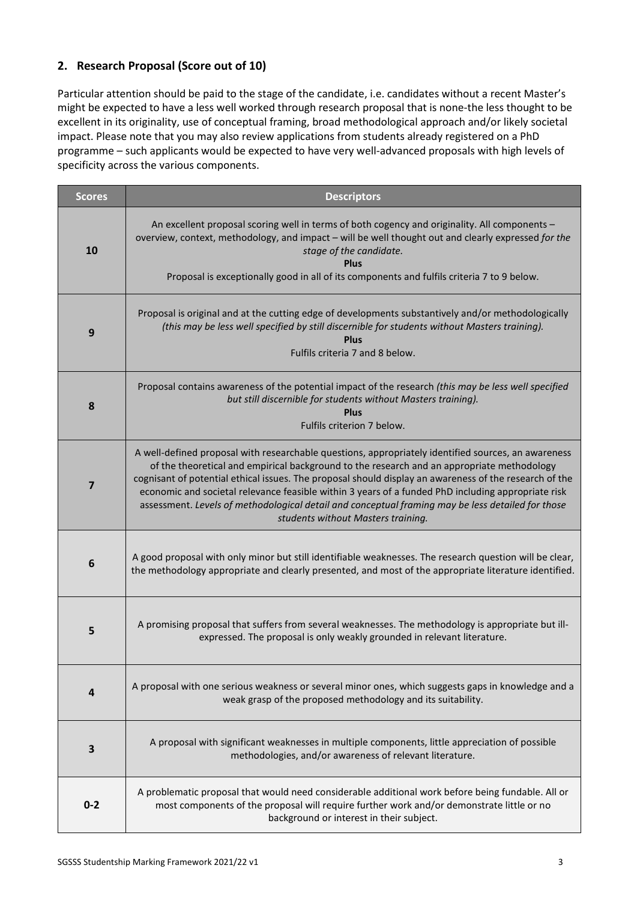## **2. Research Proposal (Score out of 10)**

Particular attention should be paid to the stage of the candidate, i.e. candidates without a recent Master's might be expected to have a less well worked through research proposal that is none-the less thought to be excellent in its originality, use of conceptual framing, broad methodological approach and/or likely societal impact. Please note that you may also review applications from students already registered on a PhD programme – such applicants would be expected to have very well-advanced proposals with high levels of specificity across the various components.

| <b>Scores</b>  | <b>Descriptors</b>                                                                                                                                                                                                                                                                                                                                                                                                                                                                                                                                           |
|----------------|--------------------------------------------------------------------------------------------------------------------------------------------------------------------------------------------------------------------------------------------------------------------------------------------------------------------------------------------------------------------------------------------------------------------------------------------------------------------------------------------------------------------------------------------------------------|
| 10             | An excellent proposal scoring well in terms of both cogency and originality. All components -<br>overview, context, methodology, and impact - will be well thought out and clearly expressed for the<br>stage of the candidate.<br><b>Plus</b>                                                                                                                                                                                                                                                                                                               |
|                | Proposal is exceptionally good in all of its components and fulfils criteria 7 to 9 below.                                                                                                                                                                                                                                                                                                                                                                                                                                                                   |
| 9              | Proposal is original and at the cutting edge of developments substantively and/or methodologically<br>(this may be less well specified by still discernible for students without Masters training).<br><b>Plus</b><br>Fulfils criteria 7 and 8 below.                                                                                                                                                                                                                                                                                                        |
| 8              | Proposal contains awareness of the potential impact of the research (this may be less well specified<br>but still discernible for students without Masters training).<br><b>Plus</b><br>Fulfils criterion 7 below.                                                                                                                                                                                                                                                                                                                                           |
| $\overline{7}$ | A well-defined proposal with researchable questions, appropriately identified sources, an awareness<br>of the theoretical and empirical background to the research and an appropriate methodology<br>cognisant of potential ethical issues. The proposal should display an awareness of the research of the<br>economic and societal relevance feasible within 3 years of a funded PhD including appropriate risk<br>assessment. Levels of methodological detail and conceptual framing may be less detailed for those<br>students without Masters training. |
| 6              | A good proposal with only minor but still identifiable weaknesses. The research question will be clear,<br>the methodology appropriate and clearly presented, and most of the appropriate literature identified.                                                                                                                                                                                                                                                                                                                                             |
| 5              | A promising proposal that suffers from several weaknesses. The methodology is appropriate but ill-<br>expressed. The proposal is only weakly grounded in relevant literature.                                                                                                                                                                                                                                                                                                                                                                                |
| 4              | A proposal with one serious weakness or several minor ones, which suggests gaps in knowledge and a<br>weak grasp of the proposed methodology and its suitability.                                                                                                                                                                                                                                                                                                                                                                                            |
| 3              | A proposal with significant weaknesses in multiple components, little appreciation of possible<br>methodologies, and/or awareness of relevant literature.                                                                                                                                                                                                                                                                                                                                                                                                    |
| $0 - 2$        | A problematic proposal that would need considerable additional work before being fundable. All or<br>most components of the proposal will require further work and/or demonstrate little or no<br>background or interest in their subject.                                                                                                                                                                                                                                                                                                                   |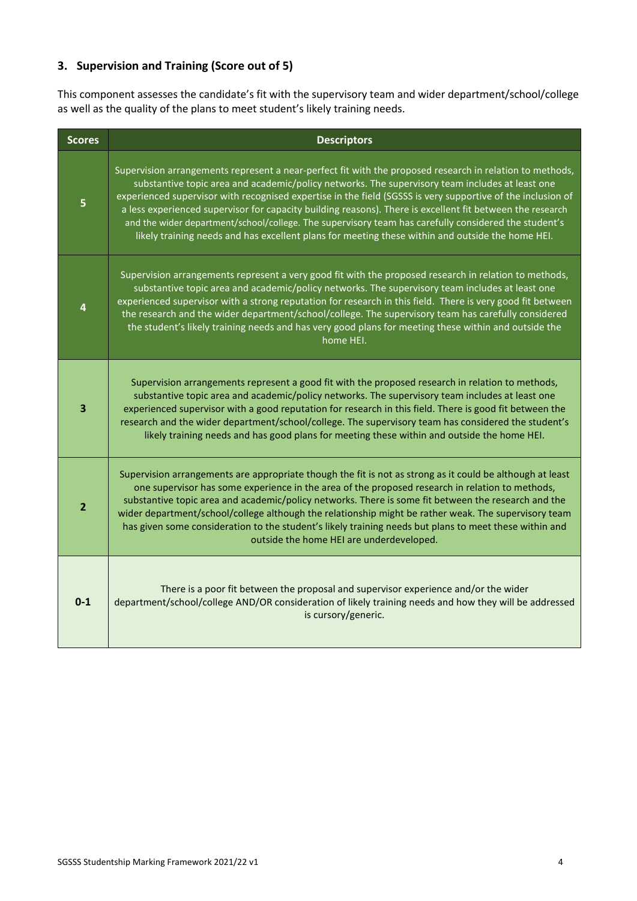# **3. Supervision and Training (Score out of 5)**

This component assesses the candidate's fit with the supervisory team and wider department/school/college as well as the quality of the plans to meet student's likely training needs.

| <b>Scores</b>           | <b>Descriptors</b>                                                                                                                                                                                                                                                                                                                                                                                                                                                                                                                                                                                                                                  |
|-------------------------|-----------------------------------------------------------------------------------------------------------------------------------------------------------------------------------------------------------------------------------------------------------------------------------------------------------------------------------------------------------------------------------------------------------------------------------------------------------------------------------------------------------------------------------------------------------------------------------------------------------------------------------------------------|
| $\overline{5}$          | Supervision arrangements represent a near-perfect fit with the proposed research in relation to methods,<br>substantive topic area and academic/policy networks. The supervisory team includes at least one<br>experienced supervisor with recognised expertise in the field (SGSSS is very supportive of the inclusion of<br>a less experienced supervisor for capacity building reasons). There is excellent fit between the research<br>and the wider department/school/college. The supervisory team has carefully considered the student's<br>likely training needs and has excellent plans for meeting these within and outside the home HEI. |
| 4                       | Supervision arrangements represent a very good fit with the proposed research in relation to methods,<br>substantive topic area and academic/policy networks. The supervisory team includes at least one<br>experienced supervisor with a strong reputation for research in this field. There is very good fit between<br>the research and the wider department/school/college. The supervisory team has carefully considered<br>the student's likely training needs and has very good plans for meeting these within and outside the<br>home HEI.                                                                                                  |
| $\overline{\mathbf{3}}$ | Supervision arrangements represent a good fit with the proposed research in relation to methods,<br>substantive topic area and academic/policy networks. The supervisory team includes at least one<br>experienced supervisor with a good reputation for research in this field. There is good fit between the<br>research and the wider department/school/college. The supervisory team has considered the student's<br>likely training needs and has good plans for meeting these within and outside the home HEI.                                                                                                                                |
| $\overline{2}$          | Supervision arrangements are appropriate though the fit is not as strong as it could be although at least<br>one supervisor has some experience in the area of the proposed research in relation to methods,<br>substantive topic area and academic/policy networks. There is some fit between the research and the<br>wider department/school/college although the relationship might be rather weak. The supervisory team<br>has given some consideration to the student's likely training needs but plans to meet these within and<br>outside the home HEI are underdeveloped.                                                                   |
| $0 - 1$                 | There is a poor fit between the proposal and supervisor experience and/or the wider<br>department/school/college AND/OR consideration of likely training needs and how they will be addressed<br>is cursory/generic.                                                                                                                                                                                                                                                                                                                                                                                                                                |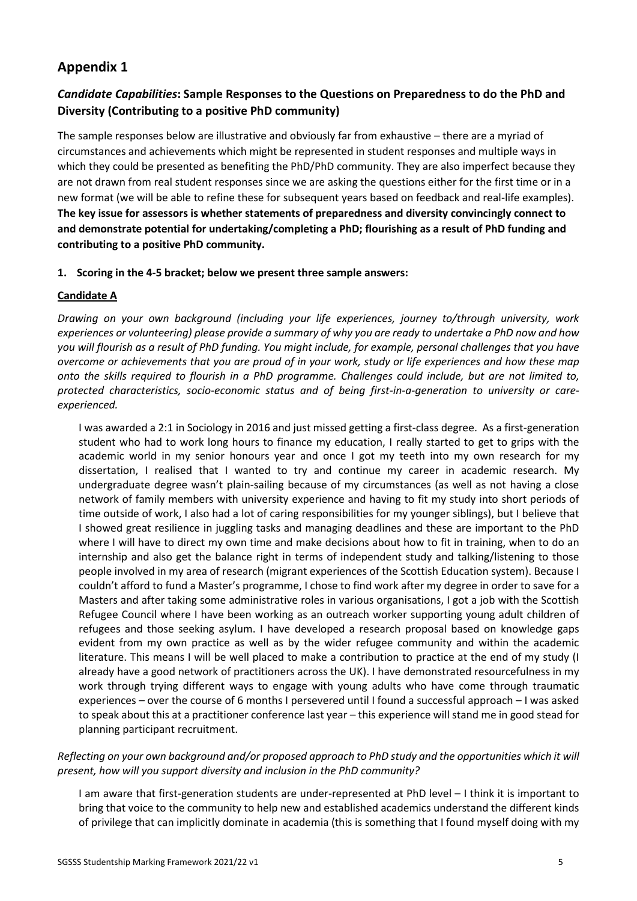# **Appendix 1**

## *Candidate Capabilities***: Sample Responses to the Questions on Preparedness to do the PhD and Diversity (Contributing to a positive PhD community)**

The sample responses below are illustrative and obviously far from exhaustive – there are a myriad of circumstances and achievements which might be represented in student responses and multiple ways in which they could be presented as benefiting the PhD/PhD community. They are also imperfect because they are not drawn from real student responses since we are asking the questions either for the first time or in a new format (we will be able to refine these for subsequent years based on feedback and real-life examples). **The key issue for assessors is whether statements of preparedness and diversity convincingly connect to and demonstrate potential for undertaking/completing a PhD; flourishing as a result of PhD funding and contributing to a positive PhD community.** 

### **1. Scoring in the 4-5 bracket; below we present three sample answers:**

### **Candidate A**

*Drawing on your own background (including your life experiences, journey to/through university, work experiences or volunteering) please provide a summary of why you are ready to undertake a PhD now and how you will flourish as a result of PhD funding. You might include, for example, personal challenges that you have overcome or achievements that you are proud of in your work, study or life experiences and how these map onto the skills required to flourish in a PhD programme. Challenges could include, but are not limited to, protected characteristics, socio-economic status and of being first-in-a-generation to university or careexperienced.*

I was awarded a 2:1 in Sociology in 2016 and just missed getting a first-class degree. As a first-generation student who had to work long hours to finance my education, I really started to get to grips with the academic world in my senior honours year and once I got my teeth into my own research for my dissertation, I realised that I wanted to try and continue my career in academic research. My undergraduate degree wasn't plain-sailing because of my circumstances (as well as not having a close network of family members with university experience and having to fit my study into short periods of time outside of work, I also had a lot of caring responsibilities for my younger siblings), but I believe that I showed great resilience in juggling tasks and managing deadlines and these are important to the PhD where I will have to direct my own time and make decisions about how to fit in training, when to do an internship and also get the balance right in terms of independent study and talking/listening to those people involved in my area of research (migrant experiences of the Scottish Education system). Because I couldn't afford to fund a Master's programme, I chose to find work after my degree in order to save for a Masters and after taking some administrative roles in various organisations, I got a job with the Scottish Refugee Council where I have been working as an outreach worker supporting young adult children of refugees and those seeking asylum. I have developed a research proposal based on knowledge gaps evident from my own practice as well as by the wider refugee community and within the academic literature. This means I will be well placed to make a contribution to practice at the end of my study (I already have a good network of practitioners across the UK). I have demonstrated resourcefulness in my work through trying different ways to engage with young adults who have come through traumatic experiences – over the course of 6 months I persevered until I found a successful approach – I was asked to speak about this at a practitioner conference last year – this experience will stand me in good stead for planning participant recruitment.

## *Reflecting on your own background and/or proposed approach to PhD study and the opportunities which it will present, how will you support diversity and inclusion in the PhD community?*

I am aware that first-generation students are under-represented at PhD level – I think it is important to bring that voice to the community to help new and established academics understand the different kinds of privilege that can implicitly dominate in academia (this is something that I found myself doing with my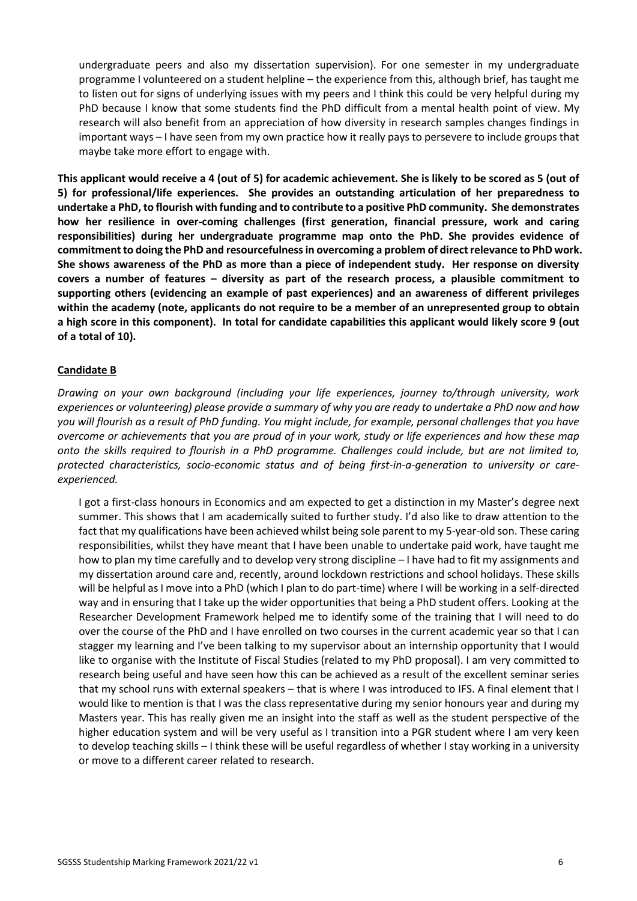undergraduate peers and also my dissertation supervision). For one semester in my undergraduate programme I volunteered on a student helpline – the experience from this, although brief, has taught me to listen out for signs of underlying issues with my peers and I think this could be very helpful during my PhD because I know that some students find the PhD difficult from a mental health point of view. My research will also benefit from an appreciation of how diversity in research samples changes findings in important ways – I have seen from my own practice how it really pays to persevere to include groups that maybe take more effort to engage with.

**This applicant would receive a 4 (out of 5) for academic achievement. She is likely to be scored as 5 (out of 5) for professional/life experiences. She provides an outstanding articulation of her preparedness to undertake a PhD, to flourish with funding and to contribute to a positive PhD community. She demonstrates how her resilience in over-coming challenges (first generation, financial pressure, work and caring responsibilities) during her undergraduate programme map onto the PhD. She provides evidence of commitment to doing the PhD and resourcefulness in overcoming a problem of direct relevance to PhD work. She shows awareness of the PhD as more than a piece of independent study. Her response on diversity covers a number of features – diversity as part of the research process, a plausible commitment to supporting others (evidencing an example of past experiences) and an awareness of different privileges within the academy (note, applicants do not require to be a member of an unrepresented group to obtain a high score in this component). In total for candidate capabilities this applicant would likely score 9 (out of a total of 10).**

#### **Candidate B**

*Drawing on your own background (including your life experiences, journey to/through university, work experiences or volunteering) please provide a summary of why you are ready to undertake a PhD now and how you will flourish as a result of PhD funding. You might include, for example, personal challenges that you have overcome or achievements that you are proud of in your work, study or life experiences and how these map onto the skills required to flourish in a PhD programme. Challenges could include, but are not limited to, protected characteristics, socio-economic status and of being first-in-a-generation to university or careexperienced.*

I got a first-class honours in Economics and am expected to get a distinction in my Master's degree next summer. This shows that I am academically suited to further study. I'd also like to draw attention to the fact that my qualifications have been achieved whilst being sole parent to my 5-year-old son. These caring responsibilities, whilst they have meant that I have been unable to undertake paid work, have taught me how to plan my time carefully and to develop very strong discipline – I have had to fit my assignments and my dissertation around care and, recently, around lockdown restrictions and school holidays. These skills will be helpful as I move into a PhD (which I plan to do part-time) where I will be working in a self-directed way and in ensuring that I take up the wider opportunities that being a PhD student offers. Looking at the Researcher Development Framework helped me to identify some of the training that I will need to do over the course of the PhD and I have enrolled on two courses in the current academic year so that I can stagger my learning and I've been talking to my supervisor about an internship opportunity that I would like to organise with the Institute of Fiscal Studies (related to my PhD proposal). I am very committed to research being useful and have seen how this can be achieved as a result of the excellent seminar series that my school runs with external speakers – that is where I was introduced to IFS. A final element that I would like to mention is that I was the class representative during my senior honours year and during my Masters year. This has really given me an insight into the staff as well as the student perspective of the higher education system and will be very useful as I transition into a PGR student where I am very keen to develop teaching skills – I think these will be useful regardless of whether I stay working in a university or move to a different career related to research.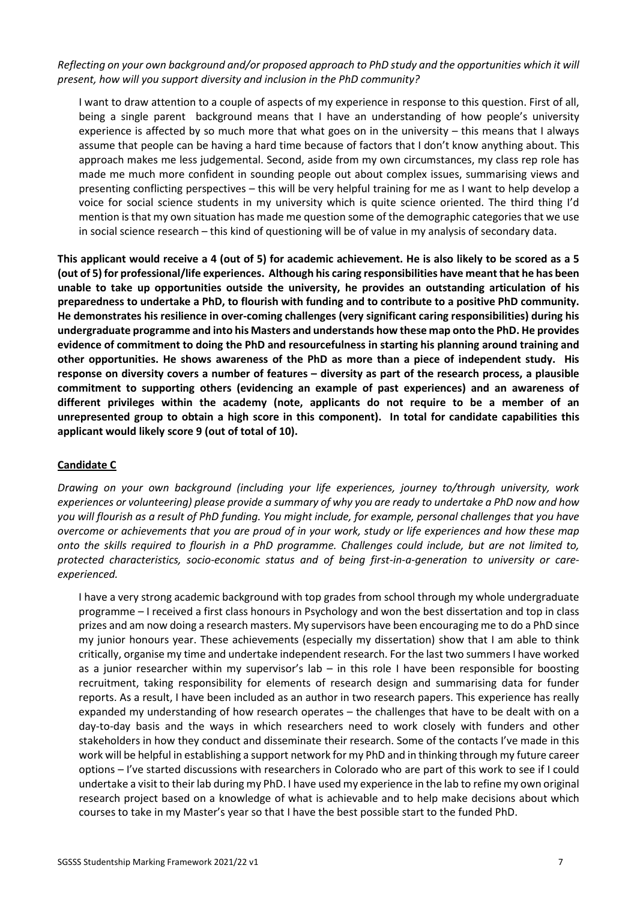*Reflecting on your own background and/or proposed approach to PhD study and the opportunities which it will present, how will you support diversity and inclusion in the PhD community?* 

I want to draw attention to a couple of aspects of my experience in response to this question. First of all, being a single parent background means that I have an understanding of how people's university experience is affected by so much more that what goes on in the university – this means that I always assume that people can be having a hard time because of factors that I don't know anything about. This approach makes me less judgemental. Second, aside from my own circumstances, my class rep role has made me much more confident in sounding people out about complex issues, summarising views and presenting conflicting perspectives – this will be very helpful training for me as I want to help develop a voice for social science students in my university which is quite science oriented. The third thing I'd mention is that my own situation has made me question some of the demographic categories that we use in social science research – this kind of questioning will be of value in my analysis of secondary data.

**This applicant would receive a 4 (out of 5) for academic achievement. He is also likely to be scored as a 5 (out of 5) for professional/life experiences. Although his caring responsibilities have meant that he has been unable to take up opportunities outside the university, he provides an outstanding articulation of his preparedness to undertake a PhD, to flourish with funding and to contribute to a positive PhD community. He demonstrates his resilience in over-coming challenges (very significant caring responsibilities) during his undergraduate programme and into his Masters and understands how these map onto the PhD. He provides evidence of commitment to doing the PhD and resourcefulness in starting his planning around training and other opportunities. He shows awareness of the PhD as more than a piece of independent study. His response on diversity covers a number of features – diversity as part of the research process, a plausible commitment to supporting others (evidencing an example of past experiences) and an awareness of different privileges within the academy (note, applicants do not require to be a member of an unrepresented group to obtain a high score in this component). In total for candidate capabilities this applicant would likely score 9 (out of total of 10).** 

#### **Candidate C**

*Drawing on your own background (including your life experiences, journey to/through university, work experiences or volunteering) please provide a summary of why you are ready to undertake a PhD now and how you will flourish as a result of PhD funding. You might include, for example, personal challenges that you have overcome or achievements that you are proud of in your work, study or life experiences and how these map onto the skills required to flourish in a PhD programme. Challenges could include, but are not limited to, protected characteristics, socio-economic status and of being first-in-a-generation to university or careexperienced.*

I have a very strong academic background with top grades from school through my whole undergraduate programme – I received a first class honours in Psychology and won the best dissertation and top in class prizes and am now doing a research masters. My supervisors have been encouraging me to do a PhD since my junior honours year. These achievements (especially my dissertation) show that I am able to think critically, organise my time and undertake independent research. For the last two summers I have worked as a junior researcher within my supervisor's lab – in this role I have been responsible for boosting recruitment, taking responsibility for elements of research design and summarising data for funder reports. As a result, I have been included as an author in two research papers. This experience has really expanded my understanding of how research operates – the challenges that have to be dealt with on a day-to-day basis and the ways in which researchers need to work closely with funders and other stakeholders in how they conduct and disseminate their research. Some of the contacts I've made in this work will be helpful in establishing a support network for my PhD and in thinking through my future career options – I've started discussions with researchers in Colorado who are part of this work to see if I could undertake a visit to their lab during my PhD. I have used my experience in the lab to refine my own original research project based on a knowledge of what is achievable and to help make decisions about which courses to take in my Master's year so that I have the best possible start to the funded PhD.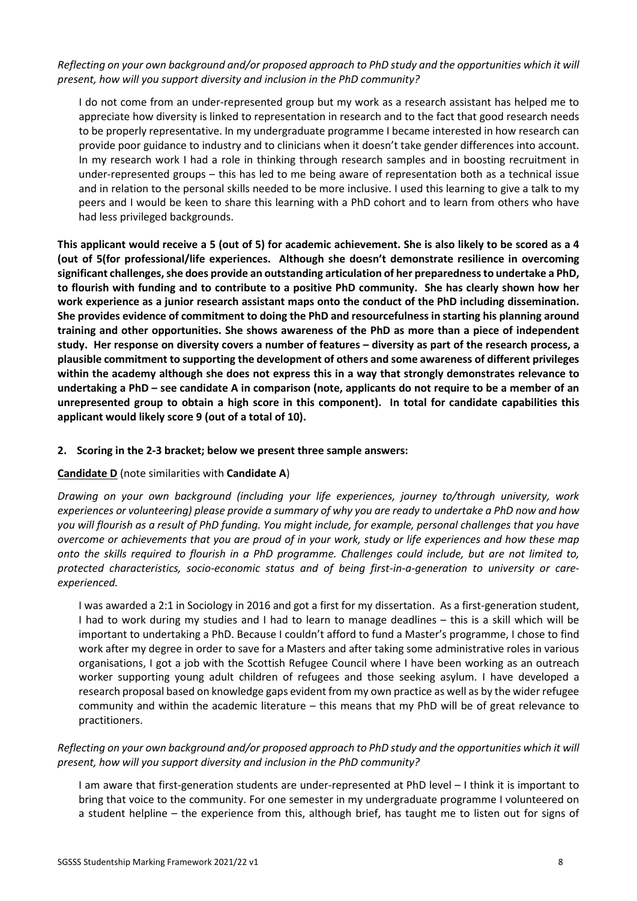*Reflecting on your own background and/or proposed approach to PhD study and the opportunities which it will present, how will you support diversity and inclusion in the PhD community?* 

I do not come from an under-represented group but my work as a research assistant has helped me to appreciate how diversity is linked to representation in research and to the fact that good research needs to be properly representative. In my undergraduate programme I became interested in how research can provide poor guidance to industry and to clinicians when it doesn't take gender differences into account. In my research work I had a role in thinking through research samples and in boosting recruitment in under-represented groups – this has led to me being aware of representation both as a technical issue and in relation to the personal skills needed to be more inclusive. I used this learning to give a talk to my peers and I would be keen to share this learning with a PhD cohort and to learn from others who have had less privileged backgrounds.

**This applicant would receive a 5 (out of 5) for academic achievement. She is also likely to be scored as a 4 (out of 5(for professional/life experiences. Although she doesn't demonstrate resilience in overcoming significant challenges, she does provide an outstanding articulation of her preparedness to undertake a PhD, to flourish with funding and to contribute to a positive PhD community. She has clearly shown how her work experience as a junior research assistant maps onto the conduct of the PhD including dissemination. She provides evidence of commitment to doing the PhD and resourcefulness in starting his planning around training and other opportunities. She shows awareness of the PhD as more than a piece of independent study. Her response on diversity covers a number of features – diversity as part of the research process, a plausible commitment to supporting the development of others and some awareness of different privileges within the academy although she does not express this in a way that strongly demonstrates relevance to undertaking a PhD – see candidate A in comparison (note, applicants do not require to be a member of an unrepresented group to obtain a high score in this component). In total for candidate capabilities this applicant would likely score 9 (out of a total of 10).**

## **2. Scoring in the 2-3 bracket; below we present three sample answers:**

## **Candidate D** (note similarities with **Candidate A**)

*Drawing on your own background (including your life experiences, journey to/through university, work experiences or volunteering) please provide a summary of why you are ready to undertake a PhD now and how you will flourish as a result of PhD funding. You might include, for example, personal challenges that you have overcome or achievements that you are proud of in your work, study or life experiences and how these map onto the skills required to flourish in a PhD programme. Challenges could include, but are not limited to, protected characteristics, socio-economic status and of being first-in-a-generation to university or careexperienced.*

I was awarded a 2:1 in Sociology in 2016 and got a first for my dissertation. As a first-generation student, I had to work during my studies and I had to learn to manage deadlines – this is a skill which will be important to undertaking a PhD. Because I couldn't afford to fund a Master's programme, I chose to find work after my degree in order to save for a Masters and after taking some administrative roles in various organisations, I got a job with the Scottish Refugee Council where I have been working as an outreach worker supporting young adult children of refugees and those seeking asylum. I have developed a research proposal based on knowledge gaps evident from my own practice as well as by the wider refugee community and within the academic literature – this means that my PhD will be of great relevance to practitioners.

## *Reflecting on your own background and/or proposed approach to PhD study and the opportunities which it will present, how will you support diversity and inclusion in the PhD community?*

I am aware that first-generation students are under-represented at PhD level – I think it is important to bring that voice to the community. For one semester in my undergraduate programme I volunteered on a student helpline – the experience from this, although brief, has taught me to listen out for signs of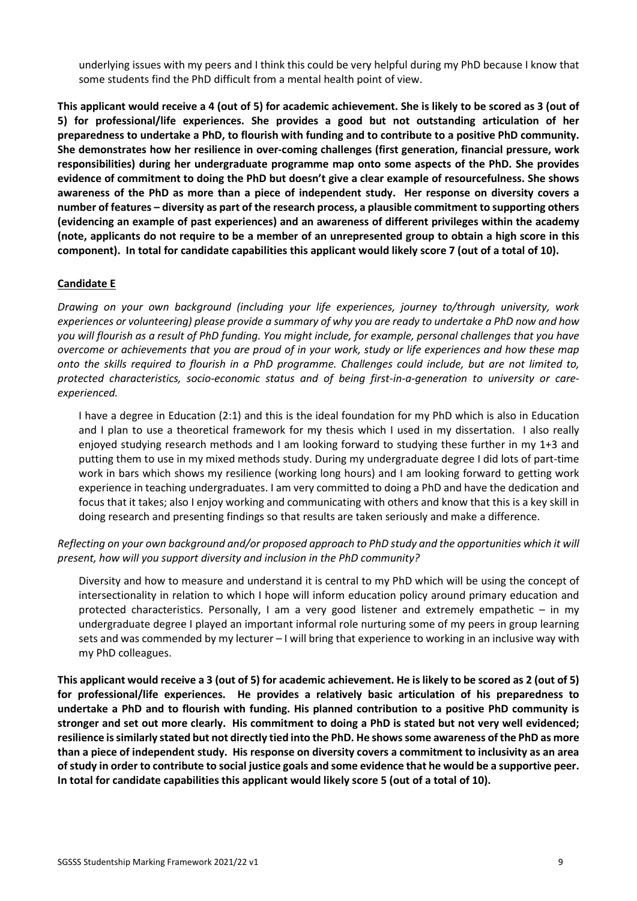underlying issues with my peers and I think this could be very helpful during my PhD because I know that some students find the PhD difficult from a mental health point of view.

**This applicant would receive a 4 (out of 5) for academic achievement. She is likely to be scored as 3 (out of 5) for professional/life experiences. She provides a good but not outstanding articulation of her preparedness to undertake a PhD, to flourish with funding and to contribute to a positive PhD community. She demonstrates how her resilience in over-coming challenges (first generation, financial pressure, work responsibilities) during her undergraduate programme map onto some aspects of the PhD. She provides evidence of commitment to doing the PhD but doesn't give a clear example of resourcefulness. She shows awareness of the PhD as more than a piece of independent study. Her response on diversity covers a number of features – diversity as part of the research process, a plausible commitment to supporting others (evidencing an example of past experiences) and an awareness of different privileges within the academy (note, applicants do not require to be a member of an unrepresented group to obtain a high score in this component). In total for candidate capabilities this applicant would likely score 7 (out of a total of 10).**

### **Candidate E**

*Drawing on your own background (including your life experiences, journey to/through university, work experiences or volunteering) please provide a summary of why you are ready to undertake a PhD now and how you will flourish as a result of PhD funding. You might include, for example, personal challenges that you have overcome or achievements that you are proud of in your work, study or life experiences and how these map onto the skills required to flourish in a PhD programme. Challenges could include, but are not limited to, protected characteristics, socio-economic status and of being first-in-a-generation to university or careexperienced.*

I have a degree in Education (2:1) and this is the ideal foundation for my PhD which is also in Education and I plan to use a theoretical framework for my thesis which I used in my dissertation. I also really enjoyed studying research methods and I am looking forward to studying these further in my 1+3 and putting them to use in my mixed methods study. During my undergraduate degree I did lots of part-time work in bars which shows my resilience (working long hours) and I am looking forward to getting work experience in teaching undergraduates. I am very committed to doing a PhD and have the dedication and focus that it takes; also I enjoy working and communicating with others and know that this is a key skill in doing research and presenting findings so that results are taken seriously and make a difference.

*Reflecting on your own background and/or proposed approach to PhD study and the opportunities which it will present, how will you support diversity and inclusion in the PhD community?* 

Diversity and how to measure and understand it is central to my PhD which will be using the concept of intersectionality in relation to which I hope will inform education policy around primary education and protected characteristics. Personally, I am a very good listener and extremely empathetic – in my undergraduate degree I played an important informal role nurturing some of my peers in group learning sets and was commended by my lecturer – I will bring that experience to working in an inclusive way with my PhD colleagues.

**This applicant would receive a 3 (out of 5) for academic achievement. He is likely to be scored as 2 (out of 5) for professional/life experiences. He provides a relatively basic articulation of his preparedness to undertake a PhD and to flourish with funding. His planned contribution to a positive PhD community is stronger and set out more clearly. His commitment to doing a PhD is stated but not very well evidenced; resilience is similarly stated but not directly tied into the PhD. He shows some awareness of the PhD as more than a piece of independent study. His response on diversity covers a commitment to inclusivity as an area of study in order to contribute to social justice goals and some evidence that he would be a supportive peer. In total for candidate capabilities this applicant would likely score 5 (out of a total of 10).**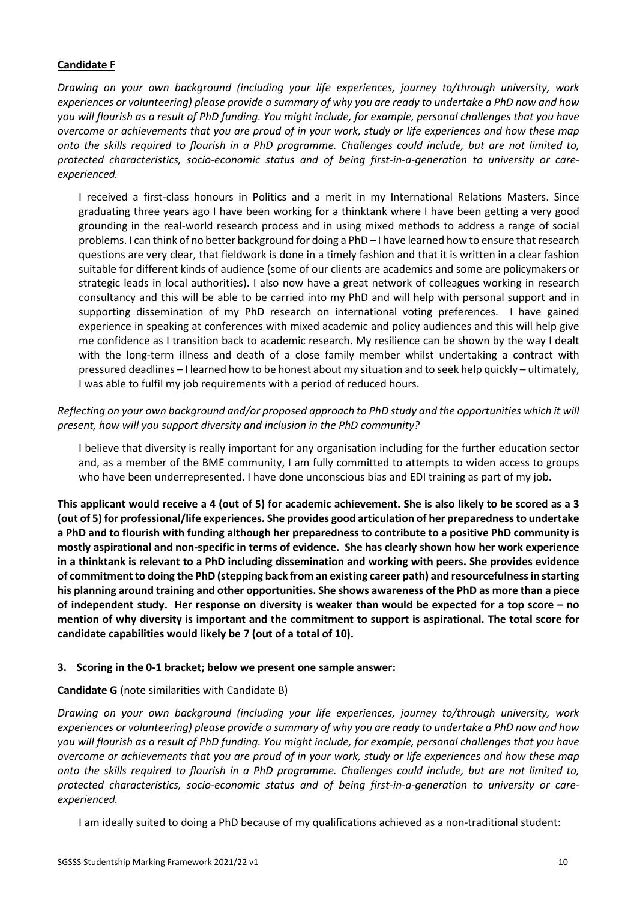## **Candidate F**

*Drawing on your own background (including your life experiences, journey to/through university, work experiences or volunteering) please provide a summary of why you are ready to undertake a PhD now and how you will flourish as a result of PhD funding. You might include, for example, personal challenges that you have overcome or achievements that you are proud of in your work, study or life experiences and how these map onto the skills required to flourish in a PhD programme. Challenges could include, but are not limited to, protected characteristics, socio-economic status and of being first-in-a-generation to university or careexperienced.*

I received a first-class honours in Politics and a merit in my International Relations Masters. Since graduating three years ago I have been working for a thinktank where I have been getting a very good grounding in the real-world research process and in using mixed methods to address a range of social problems. I can think of no better background for doing a PhD – I have learned how to ensure that research questions are very clear, that fieldwork is done in a timely fashion and that it is written in a clear fashion suitable for different kinds of audience (some of our clients are academics and some are policymakers or strategic leads in local authorities). I also now have a great network of colleagues working in research consultancy and this will be able to be carried into my PhD and will help with personal support and in supporting dissemination of my PhD research on international voting preferences. I have gained experience in speaking at conferences with mixed academic and policy audiences and this will help give me confidence as I transition back to academic research. My resilience can be shown by the way I dealt with the long-term illness and death of a close family member whilst undertaking a contract with pressured deadlines – I learned how to be honest about my situation and to seek help quickly – ultimately, I was able to fulfil my job requirements with a period of reduced hours.

## *Reflecting on your own background and/or proposed approach to PhD study and the opportunities which it will present, how will you support diversity and inclusion in the PhD community?*

I believe that diversity is really important for any organisation including for the further education sector and, as a member of the BME community, I am fully committed to attempts to widen access to groups who have been underrepresented. I have done unconscious bias and EDI training as part of my job.

**This applicant would receive a 4 (out of 5) for academic achievement. She is also likely to be scored as a 3 (out of 5) for professional/life experiences. She provides good articulation of her preparedness to undertake a PhD and to flourish with funding although her preparedness to contribute to a positive PhD community is mostly aspirational and non-specific in terms of evidence. She has clearly shown how her work experience in a thinktank is relevant to a PhD including dissemination and working with peers. She provides evidence of commitment to doing the PhD (stepping back from an existing career path) and resourcefulness in starting his planning around training and other opportunities. She shows awareness of the PhD as more than a piece of independent study. Her response on diversity is weaker than would be expected for a top score – no mention of why diversity is important and the commitment to support is aspirational. The total score for candidate capabilities would likely be 7 (out of a total of 10).** 

#### **3. Scoring in the 0-1 bracket; below we present one sample answer:**

## **Candidate G** (note similarities with Candidate B)

*Drawing on your own background (including your life experiences, journey to/through university, work experiences or volunteering) please provide a summary of why you are ready to undertake a PhD now and how you will flourish as a result of PhD funding. You might include, for example, personal challenges that you have overcome or achievements that you are proud of in your work, study or life experiences and how these map onto the skills required to flourish in a PhD programme. Challenges could include, but are not limited to, protected characteristics, socio-economic status and of being first-in-a-generation to university or careexperienced.*

I am ideally suited to doing a PhD because of my qualifications achieved as a non-traditional student: